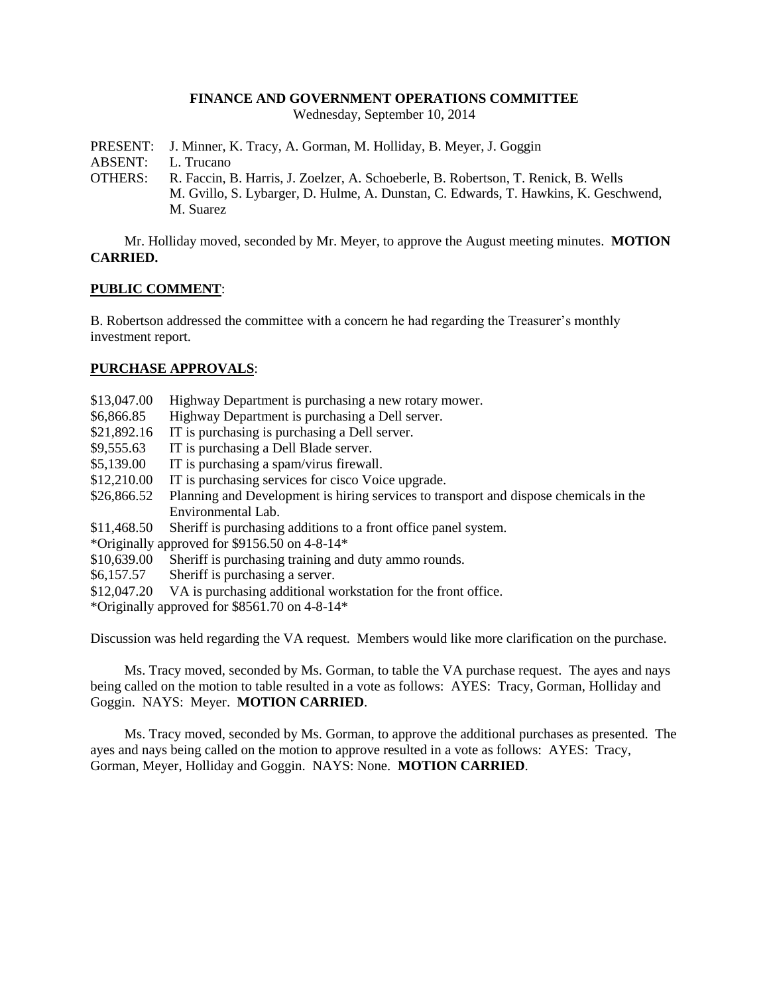## **FINANCE AND GOVERNMENT OPERATIONS COMMITTEE**

Wednesday, September 10, 2014

PRESENT: J. Minner, K. Tracy, A. Gorman, M. Holliday, B. Meyer, J. Goggin

ABSENT: L. Trucano

OTHERS: R. Faccin, B. Harris, J. Zoelzer, A. Schoeberle, B. Robertson, T. Renick, B. Wells M. Gvillo, S. Lybarger, D. Hulme, A. Dunstan, C. Edwards, T. Hawkins, K. Geschwend, M. Suarez

Mr. Holliday moved, seconded by Mr. Meyer, to approve the August meeting minutes. **MOTION CARRIED.**

## **PUBLIC COMMENT**:

B. Robertson addressed the committee with a concern he had regarding the Treasurer's monthly investment report.

## **PURCHASE APPROVALS**:

- \$13,047.00 Highway Department is purchasing a new rotary mower.
- \$6,866.85 Highway Department is purchasing a Dell server.
- \$21,892.16 IT is purchasing is purchasing a Dell server.
- \$9,555.63 IT is purchasing a Dell Blade server.
- \$5,139.00 IT is purchasing a spam/virus firewall.
- \$12,210.00 IT is purchasing services for cisco Voice upgrade.
- \$26,866.52 Planning and Development is hiring services to transport and dispose chemicals in the Environmental Lab.
- \$11,468.50 Sheriff is purchasing additions to a front office panel system.
- \*Originally approved for \$9156.50 on 4-8-14\*
- \$10,639.00 Sheriff is purchasing training and duty ammo rounds.
- \$6,157.57 Sheriff is purchasing a server.
- \$12,047.20 VA is purchasing additional workstation for the front office.

\*Originally approved for \$8561.70 on 4-8-14\*

Discussion was held regarding the VA request. Members would like more clarification on the purchase.

Ms. Tracy moved, seconded by Ms. Gorman, to table the VA purchase request. The ayes and nays being called on the motion to table resulted in a vote as follows: AYES: Tracy, Gorman, Holliday and Goggin. NAYS: Meyer. **MOTION CARRIED**.

Ms. Tracy moved, seconded by Ms. Gorman, to approve the additional purchases as presented. The ayes and nays being called on the motion to approve resulted in a vote as follows: AYES: Tracy, Gorman, Meyer, Holliday and Goggin. NAYS: None. **MOTION CARRIED**.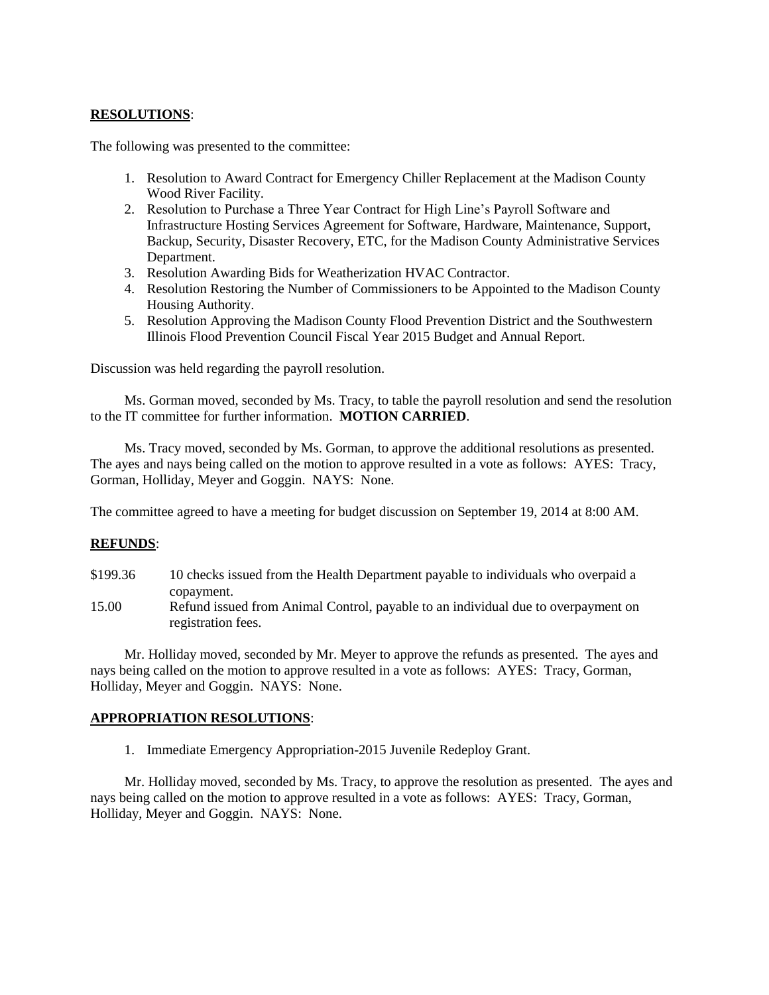# **RESOLUTIONS**:

The following was presented to the committee:

- 1. Resolution to Award Contract for Emergency Chiller Replacement at the Madison County Wood River Facility.
- 2. Resolution to Purchase a Three Year Contract for High Line's Payroll Software and Infrastructure Hosting Services Agreement for Software, Hardware, Maintenance, Support, Backup, Security, Disaster Recovery, ETC, for the Madison County Administrative Services Department.
- 3. Resolution Awarding Bids for Weatherization HVAC Contractor.
- 4. Resolution Restoring the Number of Commissioners to be Appointed to the Madison County Housing Authority.
- 5. Resolution Approving the Madison County Flood Prevention District and the Southwestern Illinois Flood Prevention Council Fiscal Year 2015 Budget and Annual Report.

Discussion was held regarding the payroll resolution.

Ms. Gorman moved, seconded by Ms. Tracy, to table the payroll resolution and send the resolution to the IT committee for further information. **MOTION CARRIED**.

Ms. Tracy moved, seconded by Ms. Gorman, to approve the additional resolutions as presented. The ayes and nays being called on the motion to approve resulted in a vote as follows: AYES: Tracy, Gorman, Holliday, Meyer and Goggin. NAYS: None.

The committee agreed to have a meeting for budget discussion on September 19, 2014 at 8:00 AM.

#### **REFUNDS**:

- \$199.36 10 checks issued from the Health Department payable to individuals who overpaid a copayment.
- 15.00 Refund issued from Animal Control, payable to an individual due to overpayment on registration fees.

Mr. Holliday moved, seconded by Mr. Meyer to approve the refunds as presented. The ayes and nays being called on the motion to approve resulted in a vote as follows: AYES: Tracy, Gorman, Holliday, Meyer and Goggin. NAYS: None.

## **APPROPRIATION RESOLUTIONS**:

1. Immediate Emergency Appropriation-2015 Juvenile Redeploy Grant.

Mr. Holliday moved, seconded by Ms. Tracy, to approve the resolution as presented. The ayes and nays being called on the motion to approve resulted in a vote as follows: AYES: Tracy, Gorman, Holliday, Meyer and Goggin. NAYS: None.